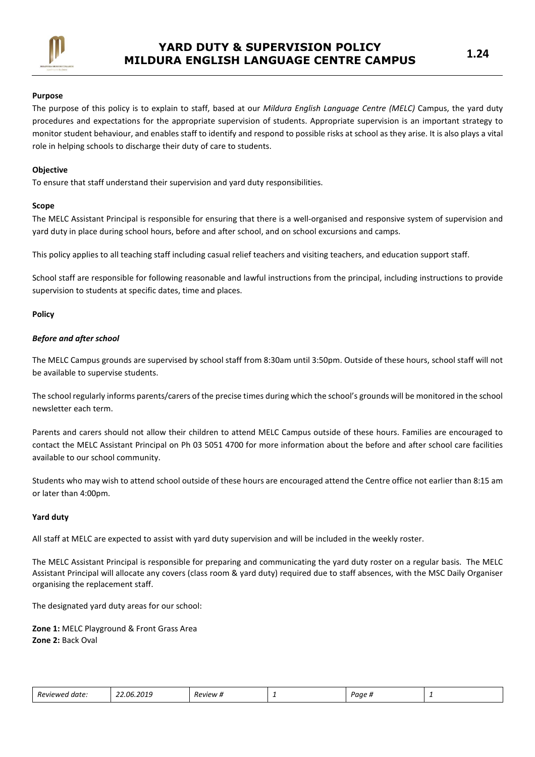

## Purpose

The purpose of this policy is to explain to staff, based at our Mildura English Language Centre (MELC) Campus, the vard duty procedures and expectations for the appropriate supervision of students. Appropriate supervision is an important strategy to monitor student behaviour, and enables staff to identify and respond to possible risks at school as they arise. It is also plays a vital role in helping schools to discharge their duty of care to students.

## **Objective**

To ensure that staff understand their supervision and yard duty responsibilities.

# Scope

The MELC Assistant Principal is responsible for ensuring that there is a well-organised and responsive system of supervision and yard duty in place during school hours, before and after school, and on school excursions and camps.

This policy applies to all teaching staff including casual relief teachers and visiting teachers, and education support staff.

School staff are responsible for following reasonable and lawful instructions from the principal, including instructions to provide supervision to students at specific dates, time and places.

# Policy

# Before and after school

The MELC Campus grounds are supervised by school staff from 8:30am until 3:50pm. Outside of these hours, school staff will not be available to supervise students.

The school regularly informs parents/carers of the precise times during which the school's grounds will be monitored in the school newsletter each term.

Parents and carers should not allow their children to attend MELC Campus outside of these hours. Families are encouraged to contact the MELC Assistant Principal on Ph 03 5051 4700 for more information about the before and after school care facilities available to our school community.

Students who may wish to attend school outside of these hours are encouraged attend the Centre office not earlier than 8:15 am or later than 4:00pm.

## Yard duty

All staff at MELC are expected to assist with yard duty supervision and will be included in the weekly roster.

The MELC Assistant Principal is responsible for preparing and communicating the yard duty roster on a regular basis. The MELC Assistant Principal will allocate any covers (class room & yard duty) required due to staff absences, with the MSC Daily Organiser organising the replacement staff.

The designated yard duty areas for our school:

Zone 1: MELC Playground & Front Grass Area Zone 2: Back Oval

| $\overline{\phantom{0}}$<br>Reviewed<br>date: | $\sim$ $\sim$<br>22.06.2019 | Review # | - | Paae |  |
|-----------------------------------------------|-----------------------------|----------|---|------|--|
|-----------------------------------------------|-----------------------------|----------|---|------|--|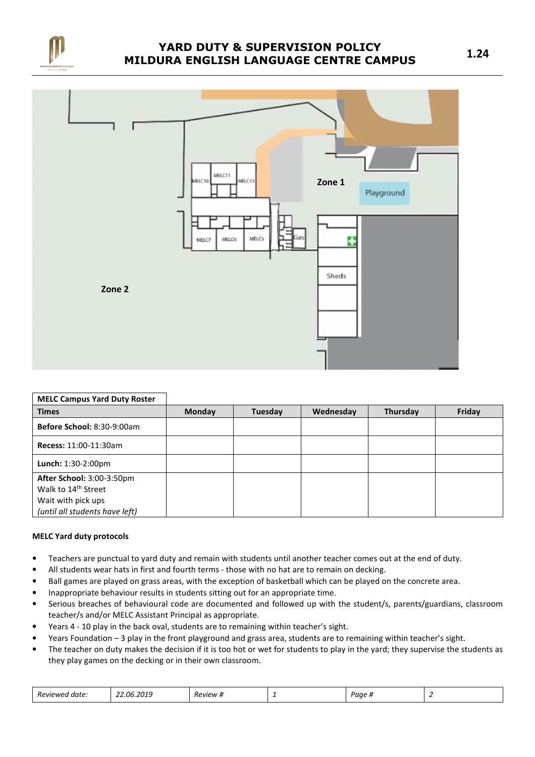



| <b>MELC Campus Yard Duty Roster</b>                                                                                  |               |         |           |          |        |
|----------------------------------------------------------------------------------------------------------------------|---------------|---------|-----------|----------|--------|
| <b>Times</b>                                                                                                         | <b>Monday</b> | Tuesday | Wednesday | Thursday | Friday |
| Before School: 8:30-9:00am                                                                                           |               |         |           |          |        |
| Recess: 11:00-11:30am                                                                                                |               |         |           |          |        |
| Lunch: 1:30-2:00pm                                                                                                   |               |         |           |          |        |
| After School: 3:00-3:50pm<br>Walk to 14 <sup>th</sup> Street<br>Wait with pick ups<br>(until all students have left) |               |         |           |          |        |

# MELC Yard duty protocols

- Teachers are punctual to yard duty and remain with students until another teacher comes out at the end of duty.
- All students wear hats in first and fourth terms those with no hat are to remain on decking.
- Ball games are played on grass areas, with the exception of basketball which can be played on the concrete area.
- Inappropriate behaviour results in students sitting out for an appropriate time.
- Serious breaches of behavioural code are documented and followed up with the student/s, parents/guardians, classroom teacher/s and/or MELC Assistant Principal as appropriate.
- Years 4 10 play in the back oval, students are to remaining within teacher's sight.
- Years Foundation 3 play in the front playground and grass area, students are to remaining within teacher's sight.
- The teacher on duty makes the decision if it is too hot or wet for students to play in the yard; they supervise the students as they play games on the decking or in their own classroom.

| Reviewed date: | 22.06.2019 | Review # | - | Paae <sub>tr</sub> |  |
|----------------|------------|----------|---|--------------------|--|
|----------------|------------|----------|---|--------------------|--|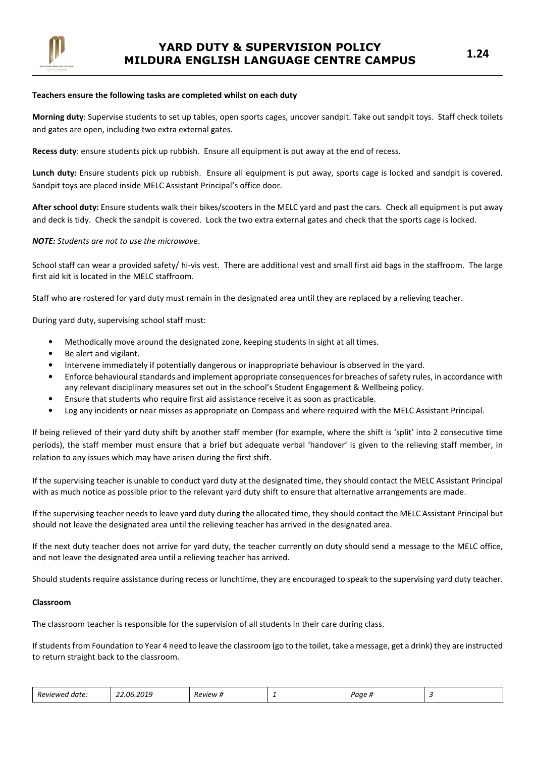

### Teachers ensure the following tasks are completed whilst on each duty

Morning duty: Supervise students to set up tables, open sports cages, uncover sandpit. Take out sandpit toys. Staff check toilets and gates are open, including two extra external gates.

Recess duty: ensure students pick up rubbish. Ensure all equipment is put away at the end of recess.

Lunch duty: Ensure students pick up rubbish. Ensure all equipment is put away, sports cage is locked and sandpit is covered. Sandpit toys are placed inside MELC Assistant Principal's office door.

After school duty: Ensure students walk their bikes/scooters in the MELC yard and past the cars. Check all equipment is put away and deck is tidy. Check the sandpit is covered. Lock the two extra external gates and check that the sports cage is locked.

NOTE: Students are not to use the microwave.

School staff can wear a provided safety/ hi-vis vest. There are additional vest and small first aid bags in the staffroom. The large first aid kit is located in the MELC staffroom.

Staff who are rostered for yard duty must remain in the designated area until they are replaced by a relieving teacher.

During yard duty, supervising school staff must:

- Methodically move around the designated zone, keeping students in sight at all times.
- Be alert and vigilant.
- Intervene immediately if potentially dangerous or inappropriate behaviour is observed in the yard.
- Enforce behavioural standards and implement appropriate consequences for breaches of safety rules, in accordance with any relevant disciplinary measures set out in the school's Student Engagement & Wellbeing policy.
- Ensure that students who require first aid assistance receive it as soon as practicable.
- Log any incidents or near misses as appropriate on Compass and where required with the MELC Assistant Principal.

If being relieved of their yard duty shift by another staff member (for example, where the shift is 'split' into 2 consecutive time periods), the staff member must ensure that a brief but adequate verbal 'handover' is given to the relieving staff member, in relation to any issues which may have arisen during the first shift.

If the supervising teacher is unable to conduct yard duty at the designated time, they should contact the MELC Assistant Principal with as much notice as possible prior to the relevant yard duty shift to ensure that alternative arrangements are made.

If the supervising teacher needs to leave yard duty during the allocated time, they should contact the MELC Assistant Principal but should not leave the designated area until the relieving teacher has arrived in the designated area.

If the next duty teacher does not arrive for yard duty, the teacher currently on duty should send a message to the MELC office, and not leave the designated area until a relieving teacher has arrived.

Should students require assistance during recess or lunchtime, they are encouraged to speak to the supervising yard duty teacher.

### Classroom

The classroom teacher is responsible for the supervision of all students in their care during class.

If students from Foundation to Year 4 need to leave the classroom (go to the toilet, take a message, get a drink) they are instructed to return straight back to the classroom.

| Reviewed<br>date: | $\sim$<br>2.06.2019 | Review # | - | . .<br>Paae<br>$\overline{\phantom{a}}$ |  |
|-------------------|---------------------|----------|---|-----------------------------------------|--|
|-------------------|---------------------|----------|---|-----------------------------------------|--|